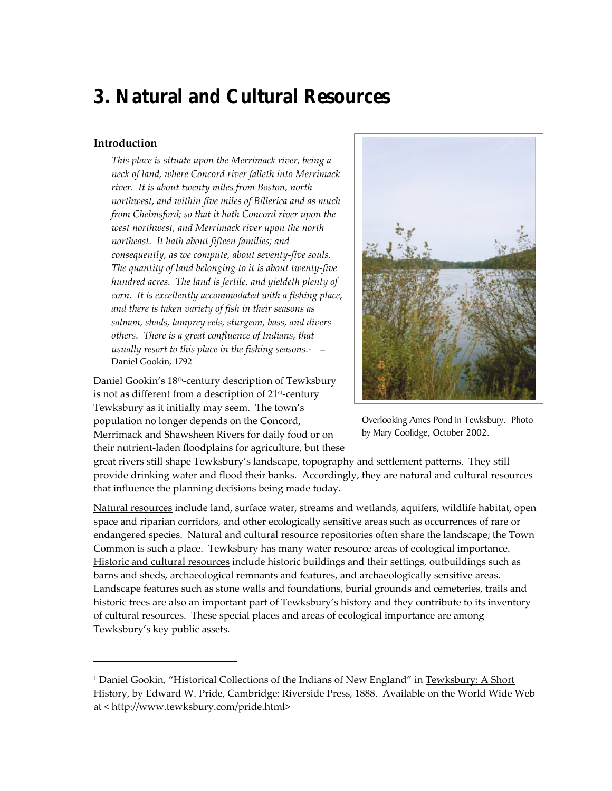# **3. Natural and Cultural Resources**

## **Introduction**

-

*This place is situate upon the Merrimack river, being a neck of land, where Concord river falleth into Merrimack river. It is about twenty miles from Boston, north northwest, and within five miles of Billerica and as much from Chelmsford; so that it hath Concord river upon the west northwest, and Merrimack river upon the north northeast. It hath about fifteen families; and consequently, as we compute, about seventy-five souls. The quantity of land belonging to it is about twenty-five hundred acres. The land is fertile, and yieldeth plenty of corn. It is excellently accommodated with a fishing place, and there is taken variety of fish in their seasons as salmon, shads, lamprey eels, sturgeon, bass, and divers others. There is a great confluence of Indians, that usually resort to this place in the fishing seasons.*<sup>1</sup> – Daniel Gookin, 1792

Daniel Gookin's 18th-century description of Tewksbury is not as different from a description of  $21<sup>st</sup>$ -century Tewksbury as it initially may seem. The town's population no longer depends on the Concord, Merrimack and Shawsheen Rivers for daily food or on their nutrient-laden floodplains for agriculture, but these



Overlooking Ames Pond in Tewksbury. Photo by Mary Coolidge, October 2002.

great rivers still shape Tewksbury's landscape, topography and settlement patterns. They still provide drinking water and flood their banks. Accordingly, they are natural and cultural resources that influence the planning decisions being made today.

Natural resources include land, surface water, streams and wetlands, aquifers, wildlife habitat, open space and riparian corridors, and other ecologically sensitive areas such as occurrences of rare or endangered species. Natural and cultural resource repositories often share the landscape; the Town Common is such a place. Tewksbury has many water resource areas of ecological importance. Historic and cultural resources include historic buildings and their settings, outbuildings such as barns and sheds, archaeological remnants and features, and archaeologically sensitive areas. Landscape features such as stone walls and foundations, burial grounds and cemeteries, trails and historic trees are also an important part of Tewksbury's history and they contribute to its inventory of cultural resources. These special places and areas of ecological importance are among Tewksbury's key public assets*.*

<sup>&</sup>lt;sup>1</sup> Daniel Gookin, "Historical Collections of the Indians of New England" in Tewksbury: A Short History, by Edward W. Pride, Cambridge: Riverside Press, 1888. Available on the World Wide Web at < http://www.tewksbury.com/pride.html>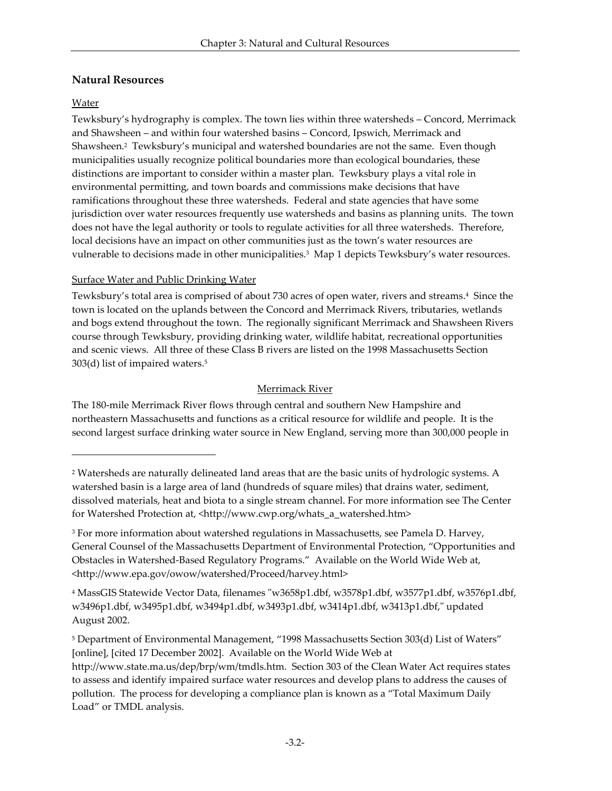# **Natural Resources**

## Water

 $\overline{\phantom{a}}$ 

Tewksbury's hydrography is complex. The town lies within three watersheds – Concord, Merrimack and Shawsheen – and within four watershed basins – Concord, Ipswich, Merrimack and Shawsheen. 2 Tewksbury's municipal and watershed boundaries are not the same. Even though municipalities usually recognize political boundaries more than ecological boundaries, these distinctions are important to consider within a master plan. Tewksbury plays a vital role in environmental permitting, and town boards and commissions make decisions that have ramifications throughout these three watersheds. Federal and state agencies that have some jurisdiction over water resources frequently use watersheds and basins as planning units. The town does not have the legal authority or tools to regulate activities for all three watersheds. Therefore, local decisions have an impact on other communities just as the town's water resources are vulnerable to decisions made in other municipalities.<sup>3</sup> Map 1 depicts Tewksbury's water resources.

## Surface Water and Public Drinking Water

Tewksbury's total area is comprised of about 730 acres of open water, rivers and streams.<sup>4</sup> Since the town is located on the uplands between the Concord and Merrimack Rivers, tributaries, wetlands and bogs extend throughout the town. The regionally significant Merrimack and Shawsheen Rivers course through Tewksbury, providing drinking water, wildlife habitat, recreational opportunities and scenic views. All three of these Class B rivers are listed on the 1998 Massachusetts Section 303(d) list of impaired waters.<sup>5</sup>

## Merrimack River

The 180-mile Merrimack River flows through central and southern New Hampshire and northeastern Massachusetts and functions as a critical resource for wildlife and people. It is the second largest surface drinking water source in New England, serving more than 300,000 people in

<sup>4</sup> MassGIS Statewide Vector Data, filenames "w3658p1.dbf, w3578p1.dbf, w3577p1.dbf, w3576p1.dbf, w3496p1.dbf, w3495p1.dbf, w3494p1.dbf, w3493p1.dbf, w3414p1.dbf, w3413p1.dbf," updated August 2002.

<sup>&</sup>lt;sup>2</sup> Watersheds are naturally delineated land areas that are the basic units of hydrologic systems. A watershed basin is a large area of land (hundreds of square miles) that drains water, sediment, dissolved materials, heat and biota to a single stream channel. For more information see The Center for Watershed Protection at, <http://www.cwp.org/whats\_a\_watershed.htm>

<sup>3</sup> For more information about watershed regulations in Massachusetts, see Pamela D. Harvey, General Counsel of the Massachusetts Department of Environmental Protection, "Opportunities and Obstacles in Watershed-Based Regulatory Programs." Available on the World Wide Web at, <http://www.epa.gov/owow/watershed/Proceed/harvey.html>

<sup>5</sup> Department of Environmental Management, "1998 Massachusetts Section 303(d) List of Waters" [online], [cited 17 December 2002]. Available on the World Wide Web at

http://www.state.ma.us/dep/brp/wm/tmdls.htm. Section 303 of the Clean Water Act requires states to assess and identify impaired surface water resources and develop plans to address the causes of pollution. The process for developing a compliance plan is known as a "Total Maximum Daily Load" or TMDL analysis.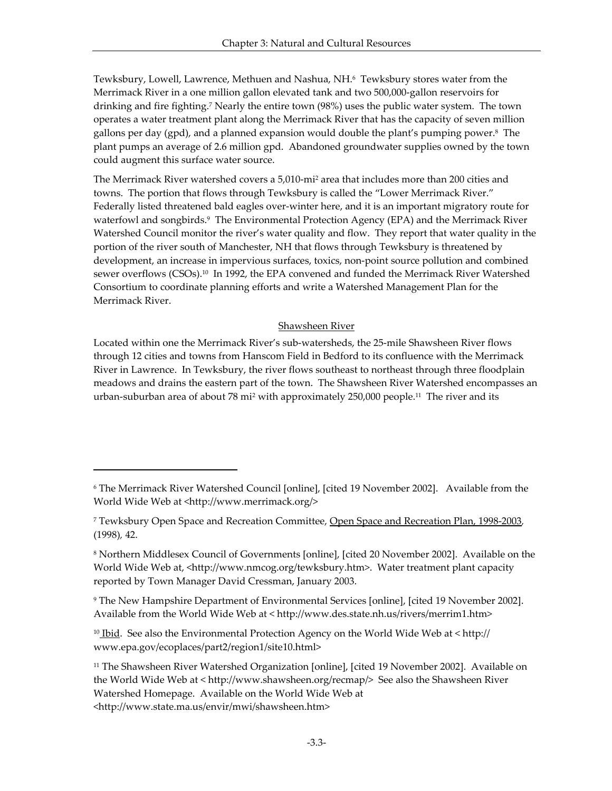Tewksbury, Lowell, Lawrence, Methuen and Nashua, NH.6 Tewksbury stores water from the Merrimack River in a one million gallon elevated tank and two 500,000-gallon reservoirs for drinking and fire fighting.<sup>7</sup> Nearly the entire town (98%) uses the public water system. The town operates a water treatment plant along the Merrimack River that has the capacity of seven million gallons per day (gpd), and a planned expansion would double the plant's pumping power.<sup>8</sup> The plant pumps an average of 2.6 million gpd. Abandoned groundwater supplies owned by the town could augment this surface water source.

The Merrimack River watershed covers a 5,010-mi<sup>2</sup> area that includes more than 200 cities and towns. The portion that flows through Tewksbury is called the "Lower Merrimack River." Federally listed threatened bald eagles over-winter here, and it is an important migratory route for waterfowl and songbirds.<sup>9</sup> The Environmental Protection Agency (EPA) and the Merrimack River Watershed Council monitor the river's water quality and flow. They report that water quality in the portion of the river south of Manchester, NH that flows through Tewksbury is threatened by development, an increase in impervious surfaces, toxics, non-point source pollution and combined sewer overflows (CSOs).10 In 1992, the EPA convened and funded the Merrimack River Watershed Consortium to coordinate planning efforts and write a Watershed Management Plan for the Merrimack River.

#### Shawsheen River

Located within one the Merrimack River's sub-watersheds, the 25-mile Shawsheen River flows through 12 cities and towns from Hanscom Field in Bedford to its confluence with the Merrimack River in Lawrence. In Tewksbury, the river flows southeast to northeast through three floodplain meadows and drains the eastern part of the town. The Shawsheen River Watershed encompasses an urban-suburban area of about 78 mi<sup>2</sup> with approximately 250,000 people.<sup>11</sup> The river and its

l

<sup>6</sup> The Merrimack River Watershed Council [online], [cited 19 November 2002]. Available from the World Wide Web at <http://www.merrimack.org/>

<sup>7</sup> Tewksbury Open Space and Recreation Committee, Open Space and Recreation Plan, 1998-2003*,*  (1998)*,* 42.

<sup>8</sup> Northern Middlesex Council of Governments [online], [cited 20 November 2002]. Available on the World Wide Web at, <http://www.nmcog.org/tewksbury.htm>. Water treatment plant capacity reported by Town Manager David Cressman, January 2003.

<sup>9</sup> The New Hampshire Department of Environmental Services [online], [cited 19 November 2002]. Available from the World Wide Web at < http://www.des.state.nh.us/rivers/merrim1.htm>

 $10$  Ibid. See also the Environmental Protection Agency on the World Wide Web at  $\langle$  http:// www.epa.gov/ecoplaces/part2/region1/site10.html>

<sup>&</sup>lt;sup>11</sup> The Shawsheen River Watershed Organization [online], [cited 19 November 2002]. Available on the World Wide Web at < http://www.shawsheen.org/recmap/> See also the Shawsheen River Watershed Homepage. Available on the World Wide Web at <http://www.state.ma.us/envir/mwi/shawsheen.htm>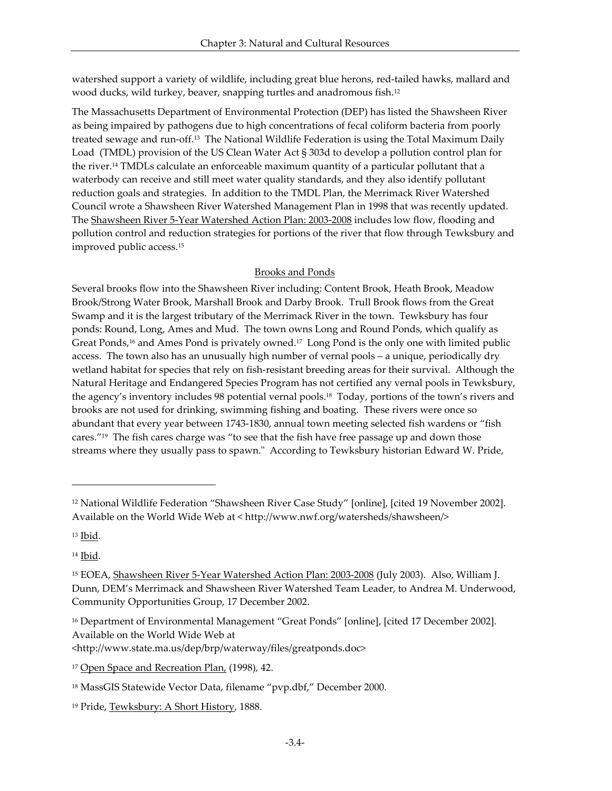watershed support a variety of wildlife, including great blue herons, red-tailed hawks, mallard and wood ducks, wild turkey, beaver, snapping turtles and anadromous fish.<sup>12</sup>

The Massachusetts Department of Environmental Protection (DEP) has listed the Shawsheen River as being impaired by pathogens due to high concentrations of fecal coliform bacteria from poorly treated sewage and run-off.13 The National Wildlife Federation is using the Total Maximum Daily Load (TMDL) provision of the US Clean Water Act § 303d to develop a pollution control plan for the river.14 TMDLs calculate an enforceable maximum quantity of a particular pollutant that a waterbody can receive and still meet water quality standards, and they also identify pollutant reduction goals and strategies. In addition to the TMDL Plan, the Merrimack River Watershed Council wrote a Shawsheen River Watershed Management Plan in 1998 that was recently updated. The Shawsheen River 5-Year Watershed Action Plan: 2003-2008 includes low flow, flooding and pollution control and reduction strategies for portions of the river that flow through Tewksbury and improved public access.<sup>15</sup>

## Brooks and Ponds

Several brooks flow into the Shawsheen River including: Content Brook, Heath Brook, Meadow Brook/Strong Water Brook, Marshall Brook and Darby Brook. Trull Brook flows from the Great Swamp and it is the largest tributary of the Merrimack River in the town. Tewksbury has four ponds: Round, Long, Ames and Mud. The town owns Long and Round Ponds, which qualify as Great Ponds,<sup>16</sup> and Ames Pond is privately owned.<sup>17</sup> Long Pond is the only one with limited public access. The town also has an unusually high number of vernal pools – a unique, periodically dry wetland habitat for species that rely on fish-resistant breeding areas for their survival. Although the Natural Heritage and Endangered Species Program has not certified any vernal pools in Tewksbury, the agency's inventory includes 98 potential vernal pools.18 Today, portions of the town's rivers and brooks are not used for drinking, swimming fishing and boating. These rivers were once so abundant that every year between 1743-1830, annual town meeting selected fish wardens or "fish cares."19 The fish cares charge was "to see that the fish have free passage up and down those streams where they usually pass to spawn." According to Tewksbury historian Edward W. Pride,

<sup>13</sup> Ibid*.*

 $\overline{\phantom{a}}$ 

<sup>14</sup> Ibid*.*

<sup>12</sup> National Wildlife Federation "Shawsheen River Case Study" [online], [cited 19 November 2002]. Available on the World Wide Web at < http://www.nwf.org/watersheds/shawsheen/>

<sup>15</sup> EOEA, Shawsheen River 5-Year Watershed Action Plan: 2003-2008 (July 2003). Also, William J. Dunn, DEM's Merrimack and Shawsheen River Watershed Team Leader, to Andrea M. Underwood, Community Opportunities Group, 17 December 2002.

<sup>&</sup>lt;sup>16</sup> Department of Environmental Management "Great Ponds" [online], [cited 17 December 2002]. Available on the World Wide Web at

<sup>&</sup>lt;http://www.state.ma.us/dep/brp/waterway/files/greatponds.doc>

<sup>17</sup> Open Space and Recreation Plan, (1998)*,* 42.

<sup>&</sup>lt;sup>18</sup> MassGIS Statewide Vector Data, filename "pvp.dbf," December 2000.

<sup>19</sup> Pride, Tewksbury: A Short History, 1888.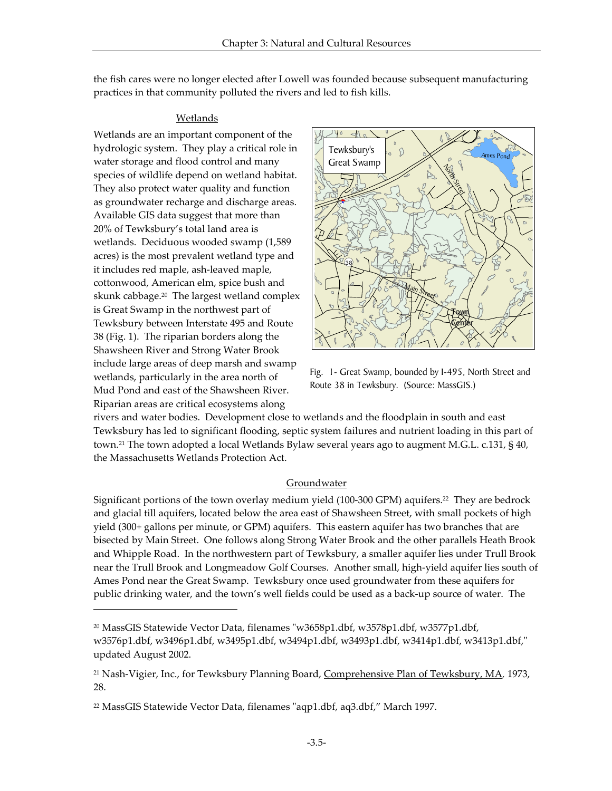the fish cares were no longer elected after Lowell was founded because subsequent manufacturing practices in that community polluted the rivers and led to fish kills.

#### Wetlands

Wetlands are an important component of the hydrologic system. They play a critical role in water storage and flood control and many species of wildlife depend on wetland habitat. They also protect water quality and function as groundwater recharge and discharge areas. Available GIS data suggest that more than 20% of Tewksbury's total land area is wetlands. Deciduous wooded swamp (1,589 acres) is the most prevalent wetland type and it includes red maple, ash-leaved maple, cottonwood, American elm, spice bush and skunk cabbage.<sup>20</sup> The largest wetland complex is Great Swamp in the northwest part of Tewksbury between Interstate 495 and Route 38 (Fig. 1). The riparian borders along the Shawsheen River and Strong Water Brook include large areas of deep marsh and swamp wetlands, particularly in the area north of Mud Pond and east of the Shawsheen River. Riparian areas are critical ecosystems along

-



Fig. 1- Great Swamp, bounded by I-495, North Street and Route 38 in Tewksbury. (Source: MassGIS.)

rivers and water bodies. Development close to wetlands and the floodplain in south and east Tewksbury has led to significant flooding, septic system failures and nutrient loading in this part of town.21 The town adopted a local Wetlands Bylaw several years ago to augment M.G.L. c.131, § 40, the Massachusetts Wetlands Protection Act.

#### **Groundwater**

Significant portions of the town overlay medium yield (100-300 GPM) aquifers.22 They are bedrock and glacial till aquifers, located below the area east of Shawsheen Street, with small pockets of high yield (300+ gallons per minute, or GPM) aquifers. This eastern aquifer has two branches that are bisected by Main Street. One follows along Strong Water Brook and the other parallels Heath Brook and Whipple Road. In the northwestern part of Tewksbury, a smaller aquifer lies under Trull Brook near the Trull Brook and Longmeadow Golf Courses. Another small, high-yield aquifer lies south of Ames Pond near the Great Swamp. Tewksbury once used groundwater from these aquifers for public drinking water, and the town's well fields could be used as a back-up source of water. The

<sup>&</sup>lt;sup>20</sup> MassGIS Statewide Vector Data, filenames "w3658p1.dbf, w3578p1.dbf, w3577p1.dbf, w3576p1.dbf, w3496p1.dbf, w3495p1.dbf, w3494p1.dbf, w3493p1.dbf, w3414p1.dbf, w3413p1.dbf," updated August 2002.

<sup>21</sup> Nash-Vigier, Inc., for Tewksbury Planning Board, Comprehensive Plan of Tewksbury, MA*,* 1973, 28.

<sup>22</sup> MassGIS Statewide Vector Data, filenames "aqp1.dbf, aq3.dbf," March 1997.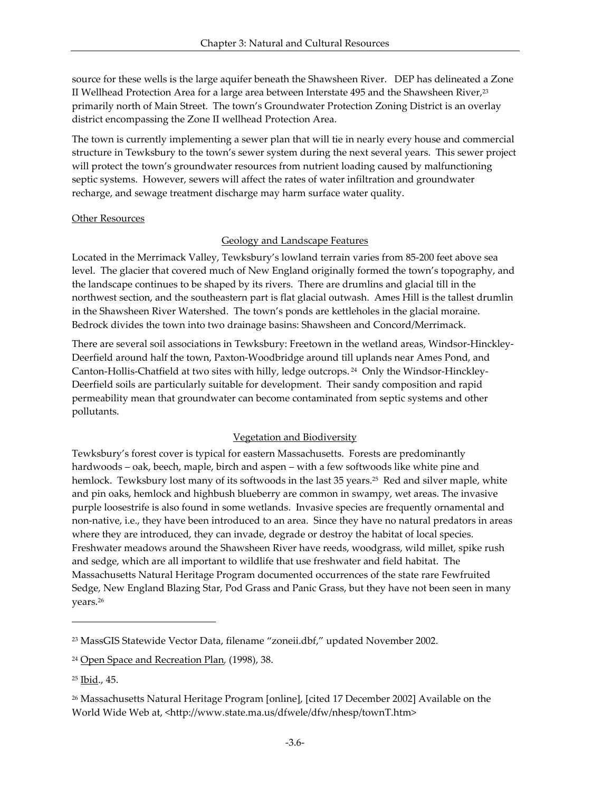source for these wells is the large aquifer beneath the Shawsheen River. DEP has delineated a Zone II Wellhead Protection Area for a large area between Interstate 495 and the Shawsheen River,<sup>23</sup> primarily north of Main Street. The town's Groundwater Protection Zoning District is an overlay district encompassing the Zone II wellhead Protection Area.

The town is currently implementing a sewer plan that will tie in nearly every house and commercial structure in Tewksbury to the town's sewer system during the next several years. This sewer project will protect the town's groundwater resources from nutrient loading caused by malfunctioning septic systems. However, sewers will affect the rates of water infiltration and groundwater recharge, and sewage treatment discharge may harm surface water quality.

#### Other Resources

## Geology and Landscape Features

Located in the Merrimack Valley, Tewksbury's lowland terrain varies from 85-200 feet above sea level. The glacier that covered much of New England originally formed the town's topography, and the landscape continues to be shaped by its rivers. There are drumlins and glacial till in the northwest section, and the southeastern part is flat glacial outwash. Ames Hill is the tallest drumlin in the Shawsheen River Watershed. The town's ponds are kettleholes in the glacial moraine. Bedrock divides the town into two drainage basins: Shawsheen and Concord/Merrimack.

There are several soil associations in Tewksbury: Freetown in the wetland areas, Windsor-Hinckley-Deerfield around half the town, Paxton-Woodbridge around till uplands near Ames Pond, and Canton-Hollis-Chatfield at two sites with hilly, ledge outcrops. <sup>24</sup> Only the Windsor-Hinckley-Deerfield soils are particularly suitable for development. Their sandy composition and rapid permeability mean that groundwater can become contaminated from septic systems and other pollutants.

#### Vegetation and Biodiversity

Tewksbury's forest cover is typical for eastern Massachusetts. Forests are predominantly hardwoods – oak, beech, maple, birch and aspen – with a few softwoods like white pine and hemlock. Tewksbury lost many of its softwoods in the last 35 years.<sup>25</sup> Red and silver maple, white and pin oaks, hemlock and highbush blueberry are common in swampy, wet areas. The invasive purple loosestrife is also found in some wetlands. Invasive species are frequently ornamental and non-native, i.e., they have been introduced to an area. Since they have no natural predators in areas where they are introduced, they can invade, degrade or destroy the habitat of local species. Freshwater meadows around the Shawsheen River have reeds, woodgrass, wild millet, spike rush and sedge, which are all important to wildlife that use freshwater and field habitat. The Massachusetts Natural Heritage Program documented occurrences of the state rare Fewfruited Sedge, New England Blazing Star, Pod Grass and Panic Grass, but they have not been seen in many years.<sup>26</sup>

 $\overline{a}$ 

<sup>23</sup> MassGIS Statewide Vector Data, filename "zoneii.dbf," updated November 2002.

<sup>24</sup> Open Space and Recreation Plan*,* (1998), 38.

<sup>25</sup> Ibid., 45.

<sup>26</sup> Massachusetts Natural Heritage Program [online], [cited 17 December 2002] Available on the World Wide Web at, <http://www.state.ma.us/dfwele/dfw/nhesp/townT.htm>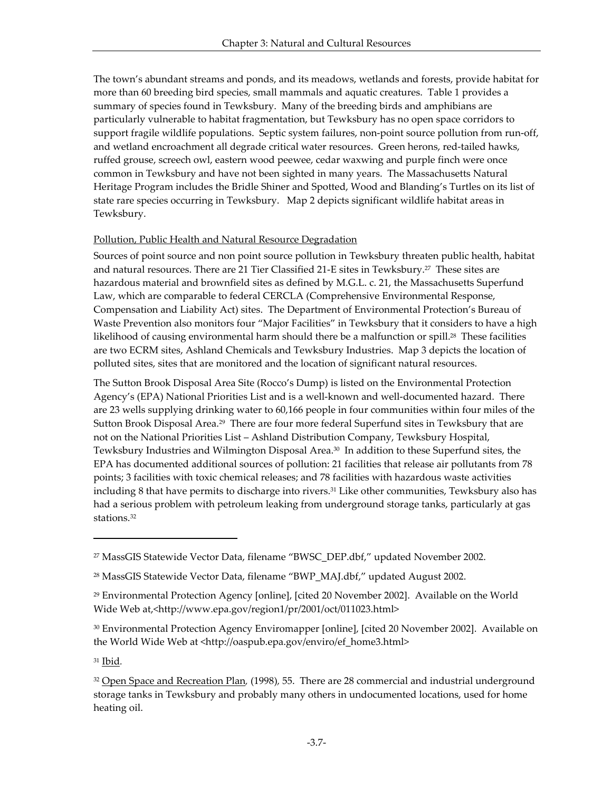The town's abundant streams and ponds, and its meadows, wetlands and forests, provide habitat for more than 60 breeding bird species, small mammals and aquatic creatures. Table 1 provides a summary of species found in Tewksbury. Many of the breeding birds and amphibians are particularly vulnerable to habitat fragmentation, but Tewksbury has no open space corridors to support fragile wildlife populations. Septic system failures, non-point source pollution from run-off, and wetland encroachment all degrade critical water resources. Green herons, red-tailed hawks, ruffed grouse, screech owl, eastern wood peewee, cedar waxwing and purple finch were once common in Tewksbury and have not been sighted in many years. The Massachusetts Natural Heritage Program includes the Bridle Shiner and Spotted, Wood and Blanding's Turtles on its list of state rare species occurring in Tewksbury. Map 2 depicts significant wildlife habitat areas in Tewksbury.

## Pollution, Public Health and Natural Resource Degradation

Sources of point source and non point source pollution in Tewksbury threaten public health, habitat and natural resources. There are 21 Tier Classified 21-E sites in Tewksbury.27 These sites are hazardous material and brownfield sites as defined by M.G.L. c. 21, the Massachusetts Superfund Law, which are comparable to federal CERCLA (Comprehensive Environmental Response, Compensation and Liability Act) sites. The Department of Environmental Protection's Bureau of Waste Prevention also monitors four "Major Facilities" in Tewksbury that it considers to have a high likelihood of causing environmental harm should there be a malfunction or spill.<sup>28</sup> These facilities are two ECRM sites, Ashland Chemicals and Tewksbury Industries. Map 3 depicts the location of polluted sites, sites that are monitored and the location of significant natural resources.

The Sutton Brook Disposal Area Site (Rocco's Dump) is listed on the Environmental Protection Agency's (EPA) National Priorities List and is a well-known and well-documented hazard. There are 23 wells supplying drinking water to 60,166 people in four communities within four miles of the Sutton Brook Disposal Area.<sup>29</sup> There are four more federal Superfund sites in Tewksbury that are not on the National Priorities List – Ashland Distribution Company, Tewksbury Hospital, Tewksbury Industries and Wilmington Disposal Area.<sup>30</sup> In addition to these Superfund sites, the EPA has documented additional sources of pollution: 21 facilities that release air pollutants from 78 points; 3 facilities with toxic chemical releases; and 78 facilities with hazardous waste activities including 8 that have permits to discharge into rivers.31 Like other communities, Tewksbury also has had a serious problem with petroleum leaking from underground storage tanks, particularly at gas stations.<sup>32</sup>

<sup>31</sup> Ibid*.*

l

<sup>27</sup> MassGIS Statewide Vector Data, filename "BWSC\_DEP.dbf," updated November 2002.

<sup>&</sup>lt;sup>28</sup> MassGIS Statewide Vector Data, filename "BWP\_MAJ.dbf," updated August 2002.

<sup>29</sup> Environmental Protection Agency [online], [cited 20 November 2002]. Available on the World Wide Web at,<http://www.epa.gov/region1/pr/2001/oct/011023.html>

<sup>&</sup>lt;sup>30</sup> Environmental Protection Agency Enviromapper [online], [cited 20 November 2002]. Available on the World Wide Web at <http://oaspub.epa.gov/enviro/ef\_home3.html>

<sup>32</sup> Open Space and Recreation Plan*,* (1998)*,* 55. There are 28 commercial and industrial underground storage tanks in Tewksbury and probably many others in undocumented locations, used for home heating oil.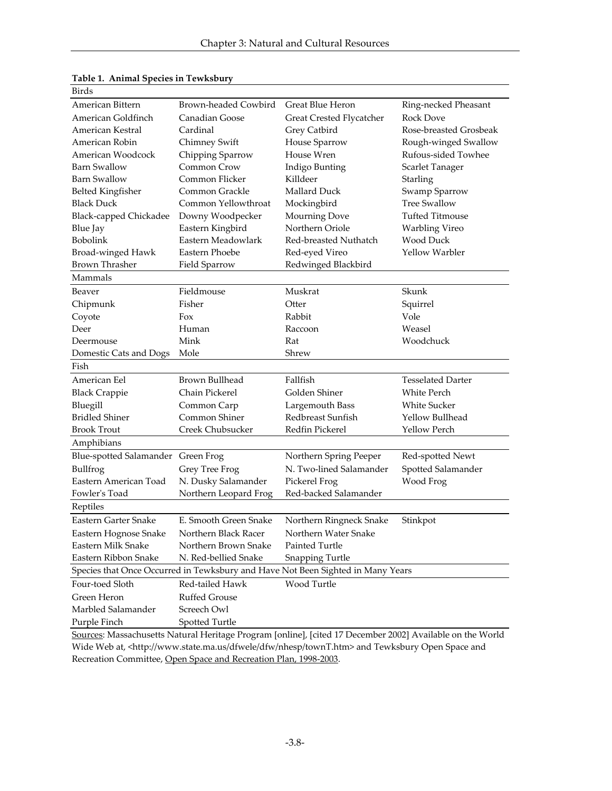| Birds                                                                           |                             |                          |                          |  |
|---------------------------------------------------------------------------------|-----------------------------|--------------------------|--------------------------|--|
| American Bittern                                                                | <b>Brown-headed Cowbird</b> | Great Blue Heron         | Ring-necked Pheasant     |  |
| American Goldfinch                                                              | Canadian Goose              | Great Crested Flycatcher | <b>Rock Dove</b>         |  |
| American Kestral                                                                | Cardinal                    | Grey Catbird             | Rose-breasted Grosbeak   |  |
| American Robin                                                                  | Chimney Swift               | House Sparrow            | Rough-winged Swallow     |  |
| American Woodcock                                                               | Chipping Sparrow            | House Wren               | Rufous-sided Towhee      |  |
| <b>Barn Swallow</b>                                                             | Common Crow                 | Indigo Bunting           | Scarlet Tanager          |  |
| <b>Barn Swallow</b>                                                             | Common Flicker              | Killdeer                 | Starling                 |  |
| <b>Belted Kingfisher</b>                                                        | Common Grackle              | Mallard Duck             | Swamp Sparrow            |  |
| <b>Black Duck</b>                                                               | Common Yellowthroat         | Mockingbird              | <b>Tree Swallow</b>      |  |
| Black-capped Chickadee                                                          | Downy Woodpecker            | <b>Mourning Dove</b>     | <b>Tufted Titmouse</b>   |  |
| Blue Jay                                                                        | Eastern Kingbird            | Northern Oriole          | Warbling Vireo           |  |
| Bobolink                                                                        | Eastern Meadowlark          | Red-breasted Nuthatch    | Wood Duck                |  |
| Broad-winged Hawk                                                               | Eastern Phoebe              | Red-eyed Vireo           | <b>Yellow Warbler</b>    |  |
| <b>Brown Thrasher</b>                                                           | Field Sparrow               | Redwinged Blackbird      |                          |  |
| Mammals                                                                         |                             |                          |                          |  |
| Beaver                                                                          | Fieldmouse                  | Muskrat                  | Skunk                    |  |
| Chipmunk                                                                        | Fisher                      | Otter                    | Squirrel                 |  |
| Coyote                                                                          | Fox                         | Rabbit                   | Vole                     |  |
| Deer                                                                            | Human                       | Raccoon                  | Weasel                   |  |
| Deermouse                                                                       | Mink                        | Rat                      | Woodchuck                |  |
| Domestic Cats and Dogs                                                          | Mole                        | Shrew                    |                          |  |
| Fish                                                                            |                             |                          |                          |  |
| American Eel                                                                    | <b>Brown Bullhead</b>       | Fallfish                 | <b>Tesselated Darter</b> |  |
| <b>Black Crappie</b>                                                            | Chain Pickerel              | Golden Shiner            | <b>White Perch</b>       |  |
| Bluegill                                                                        | Common Carp                 | Largemouth Bass          | <b>White Sucker</b>      |  |
| <b>Bridled Shiner</b>                                                           | Common Shiner               | Redbreast Sunfish        | Yellow Bullhead          |  |
| <b>Brook Trout</b>                                                              | Creek Chubsucker            | Redfin Pickerel          | Yellow Perch             |  |
| Amphibians                                                                      |                             |                          |                          |  |
| Blue-spotted Salamander Green Frog                                              |                             | Northern Spring Peeper   | Red-spotted Newt         |  |
| Bullfrog                                                                        | Grey Tree Frog              | N. Two-lined Salamander  | Spotted Salamander       |  |
| Eastern American Toad                                                           | N. Dusky Salamander         | Pickerel Frog            | Wood Frog                |  |
| Fowler's Toad                                                                   | Northern Leopard Frog       | Red-backed Salamander    |                          |  |
| Reptiles                                                                        |                             |                          |                          |  |
| Eastern Garter Snake                                                            | E. Smooth Green Snake       | Northern Ringneck Snake  | Stinkpot                 |  |
| Eastern Hognose Snake                                                           | Northern Black Racer        | Northern Water Snake     |                          |  |
| Eastern Milk Snake                                                              | Northern Brown Snake        | Painted Turtle           |                          |  |
| Eastern Ribbon Snake                                                            | N. Red-bellied Snake        | Snapping Turtle          |                          |  |
| Species that Once Occurred in Tewksbury and Have Not Been Sighted in Many Years |                             |                          |                          |  |
| Four-toed Sloth                                                                 | Red-tailed Hawk             | Wood Turtle              |                          |  |
| Green Heron                                                                     | <b>Ruffed Grouse</b>        |                          |                          |  |
| Marbled Salamander                                                              |                             |                          |                          |  |
|                                                                                 | Screech Owl                 |                          |                          |  |

# **Table 1. Animal Species in Tewksbury**

Sources: Massachusetts Natural Heritage Program [online], [cited 17 December 2002] Available on the World Wide Web at, <http://www.state.ma.us/dfwele/dfw/nhesp/townT.htm> and Tewksbury Open Space and Recreation Committee, Open Space and Recreation Plan, 1998-2003.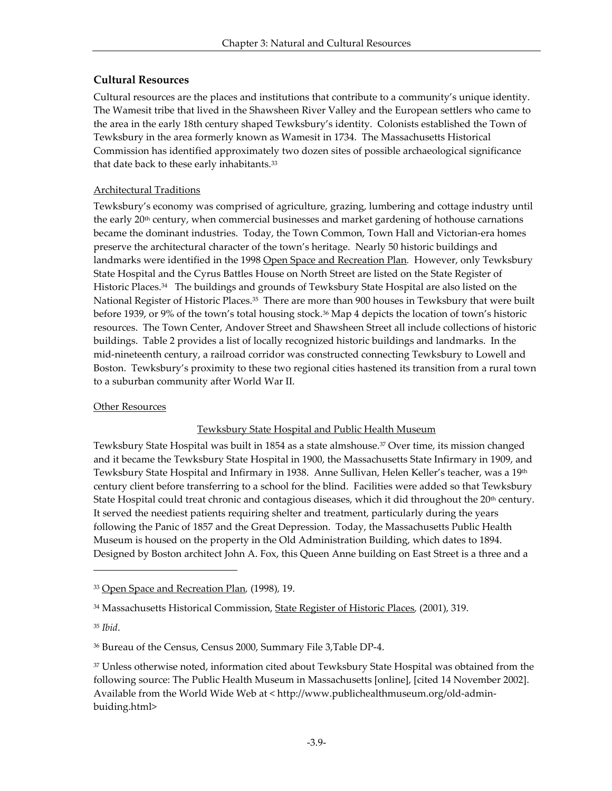# **Cultural Resources**

Cultural resources are the places and institutions that contribute to a community's unique identity. The Wamesit tribe that lived in the Shawsheen River Valley and the European settlers who came to the area in the early 18th century shaped Tewksbury's identity. Colonists established the Town of Tewksbury in the area formerly known as Wamesit in 1734. The Massachusetts Historical Commission has identified approximately two dozen sites of possible archaeological significance that date back to these early inhabitants.<sup>33</sup>

## Architectural Traditions

Tewksbury's economy was comprised of agriculture, grazing, lumbering and cottage industry until the early 20<sup>th</sup> century, when commercial businesses and market gardening of hothouse carnations became the dominant industries. Today, the Town Common, Town Hall and Victorian-era homes preserve the architectural character of the town's heritage. Nearly 50 historic buildings and landmarks were identified in the 1998 Open Space and Recreation Plan*.* However, only Tewksbury State Hospital and the Cyrus Battles House on North Street are listed on the State Register of Historic Places.34 The buildings and grounds of Tewksbury State Hospital are also listed on the National Register of Historic Places.<sup>35</sup> There are more than 900 houses in Tewksbury that were built before 1939, or 9% of the town's total housing stock.36 Map 4 depicts the location of town's historic resources. The Town Center, Andover Street and Shawsheen Street all include collections of historic buildings. Table 2 provides a list of locally recognized historic buildings and landmarks. In the mid-nineteenth century, a railroad corridor was constructed connecting Tewksbury to Lowell and Boston. Tewksbury's proximity to these two regional cities hastened its transition from a rural town to a suburban community after World War II.

## **Other Resources**

## Tewksbury State Hospital and Public Health Museum

Tewksbury State Hospital was built in 1854 as a state almshouse.37 Over time, its mission changed and it became the Tewksbury State Hospital in 1900, the Massachusetts State Infirmary in 1909, and Tewksbury State Hospital and Infirmary in 1938. Anne Sullivan, Helen Keller's teacher, was a 19th century client before transferring to a school for the blind. Facilities were added so that Tewksbury State Hospital could treat chronic and contagious diseases, which it did throughout the 20<sup>th</sup> century. It served the neediest patients requiring shelter and treatment, particularly during the years following the Panic of 1857 and the Great Depression. Today, the Massachusetts Public Health Museum is housed on the property in the Old Administration Building, which dates to 1894. Designed by Boston architect John A. Fox, this Queen Anne building on East Street is a three and a

-

<sup>33</sup> Open Space and Recreation Plan*,* (1998)*,* 19.

<sup>34</sup> Massachusetts Historical Commission, State Register of Historic Places*,* (2001), 319.

<sup>35</sup> *Ibid*.

<sup>36</sup> Bureau of the Census, Census 2000, Summary File 3,Table DP-4.

<sup>37</sup> Unless otherwise noted, information cited about Tewksbury State Hospital was obtained from the following source: The Public Health Museum in Massachusetts [online], [cited 14 November 2002]. Available from the World Wide Web at < http://www.publichealthmuseum.org/old-adminbuiding.html>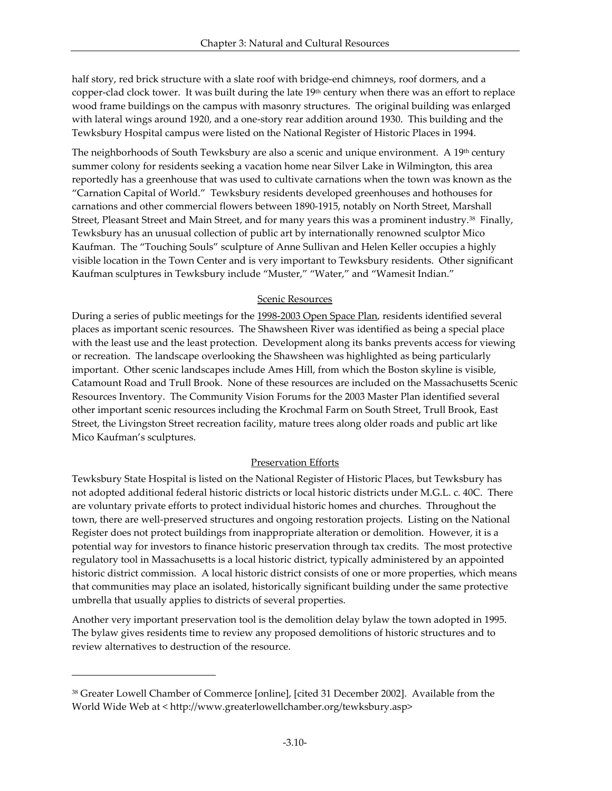half story, red brick structure with a slate roof with bridge-end chimneys, roof dormers, and a copper-clad clock tower. It was built during the late 19<sup>th</sup> century when there was an effort to replace wood frame buildings on the campus with masonry structures. The original building was enlarged with lateral wings around 1920, and a one-story rear addition around 1930. This building and the Tewksbury Hospital campus were listed on the National Register of Historic Places in 1994.

The neighborhoods of South Tewksbury are also a scenic and unique environment. A 19<sup>th</sup> century summer colony for residents seeking a vacation home near Silver Lake in Wilmington, this area reportedly has a greenhouse that was used to cultivate carnations when the town was known as the "Carnation Capital of World." Tewksbury residents developed greenhouses and hothouses for carnations and other commercial flowers between 1890-1915, notably on North Street, Marshall Street, Pleasant Street and Main Street, and for many years this was a prominent industry.38 Finally, Tewksbury has an unusual collection of public art by internationally renowned sculptor Mico Kaufman. The "Touching Souls" sculpture of Anne Sullivan and Helen Keller occupies a highly visible location in the Town Center and is very important to Tewksbury residents. Other significant Kaufman sculptures in Tewksbury include "Muster," "Water," and "Wamesit Indian."

#### Scenic Resources

During a series of public meetings for the 1998-2003 Open Space Plan, residents identified several places as important scenic resources. The Shawsheen River was identified as being a special place with the least use and the least protection. Development along its banks prevents access for viewing or recreation. The landscape overlooking the Shawsheen was highlighted as being particularly important. Other scenic landscapes include Ames Hill, from which the Boston skyline is visible, Catamount Road and Trull Brook. None of these resources are included on the Massachusetts Scenic Resources Inventory. The Community Vision Forums for the 2003 Master Plan identified several other important scenic resources including the Krochmal Farm on South Street, Trull Brook, East Street, the Livingston Street recreation facility, mature trees along older roads and public art like Mico Kaufman's sculptures.

#### Preservation Efforts

Tewksbury State Hospital is listed on the National Register of Historic Places, but Tewksbury has not adopted additional federal historic districts or local historic districts under M.G.L. c. 40C. There are voluntary private efforts to protect individual historic homes and churches. Throughout the town, there are well-preserved structures and ongoing restoration projects. Listing on the National Register does not protect buildings from inappropriate alteration or demolition. However, it is a potential way for investors to finance historic preservation through tax credits. The most protective regulatory tool in Massachusetts is a local historic district, typically administered by an appointed historic district commission. A local historic district consists of one or more properties, which means that communities may place an isolated, historically significant building under the same protective umbrella that usually applies to districts of several properties.

Another very important preservation tool is the demolition delay bylaw the town adopted in 1995. The bylaw gives residents time to review any proposed demolitions of historic structures and to review alternatives to destruction of the resource.

 $\overline{a}$ 

<sup>38</sup> Greater Lowell Chamber of Commerce [online], [cited 31 December 2002]. Available from the World Wide Web at < http://www.greaterlowellchamber.org/tewksbury.asp>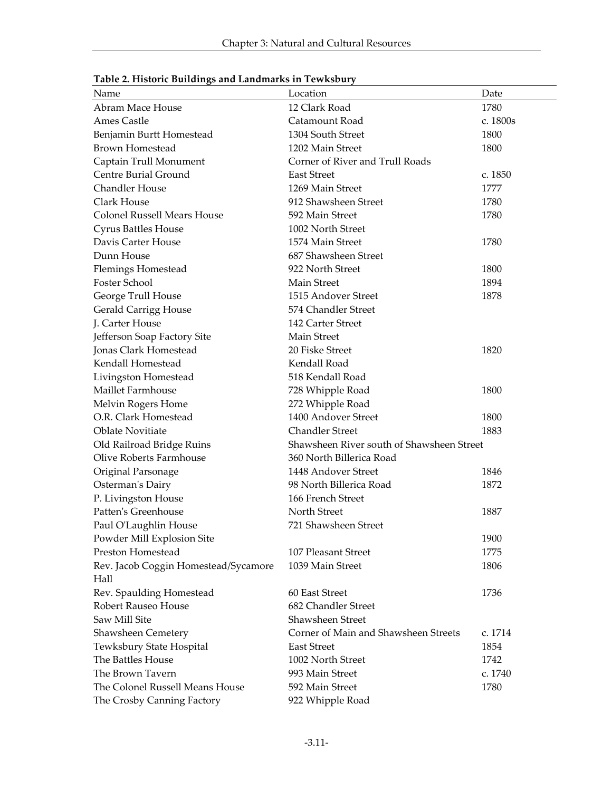| <u>racie L. Histoire Danamgo ana Banamains in Tewnscary</u> |                                           |          |
|-------------------------------------------------------------|-------------------------------------------|----------|
| Name                                                        | Location                                  | Date     |
| Abram Mace House                                            | 12 Clark Road                             | 1780     |
| Ames Castle                                                 | Catamount Road                            | c. 1800s |
| Benjamin Burtt Homestead                                    | 1304 South Street                         | 1800     |
| <b>Brown Homestead</b>                                      | 1202 Main Street                          | 1800     |
| Captain Trull Monument                                      | Corner of River and Trull Roads           |          |
| Centre Burial Ground                                        | <b>East Street</b>                        | c. 1850  |
| Chandler House                                              | 1269 Main Street                          | 1777     |
| Clark House                                                 | 912 Shawsheen Street                      | 1780     |
| <b>Colonel Russell Mears House</b>                          | 592 Main Street                           | 1780     |
| Cyrus Battles House                                         | 1002 North Street                         |          |
| Davis Carter House                                          | 1574 Main Street                          | 1780     |
| Dunn House                                                  | 687 Shawsheen Street                      |          |
| <b>Flemings Homestead</b>                                   | 922 North Street                          | 1800     |
| Foster School                                               | Main Street                               | 1894     |
| George Trull House                                          | 1515 Andover Street                       | 1878     |
| Gerald Carrigg House                                        | 574 Chandler Street                       |          |
| J. Carter House                                             | 142 Carter Street                         |          |
| Jefferson Soap Factory Site                                 | Main Street                               |          |
| Jonas Clark Homestead                                       | 20 Fiske Street                           | 1820     |
| Kendall Homestead                                           | Kendall Road                              |          |
| Livingston Homestead                                        | 518 Kendall Road                          |          |
| Maillet Farmhouse                                           | 728 Whipple Road                          | 1800     |
| Melvin Rogers Home                                          | 272 Whipple Road                          |          |
| O.R. Clark Homestead                                        | 1400 Andover Street                       | 1800     |
| <b>Oblate Novitiate</b>                                     | <b>Chandler Street</b>                    | 1883     |
| Old Railroad Bridge Ruins                                   | Shawsheen River south of Shawsheen Street |          |
| Olive Roberts Farmhouse                                     | 360 North Billerica Road                  |          |
| Original Parsonage                                          | 1448 Andover Street                       | 1846     |
| Osterman's Dairy                                            | 98 North Billerica Road                   | 1872     |
| P. Livingston House                                         | 166 French Street                         |          |
| Patten's Greenhouse                                         | North Street                              | 1887     |
| Paul O'Laughlin House                                       | 721 Shawsheen Street                      |          |
| Powder Mill Explosion Site                                  |                                           | 1900     |
| Preston Homestead                                           | 107 Pleasant Street                       | 1775     |
| Rev. Jacob Coggin Homestead/Sycamore                        | 1039 Main Street                          | 1806     |
| Hall                                                        |                                           |          |
| Rev. Spaulding Homestead                                    | 60 East Street                            | 1736     |
| <b>Robert Rauseo House</b>                                  | 682 Chandler Street                       |          |
| Saw Mill Site                                               | Shawsheen Street                          |          |
| Shawsheen Cemetery                                          | Corner of Main and Shawsheen Streets      | c. 1714  |
| Tewksbury State Hospital                                    | <b>East Street</b>                        | 1854     |
| The Battles House                                           | 1002 North Street                         | 1742     |
| The Brown Tavern                                            | 993 Main Street                           | c. 1740  |
| The Colonel Russell Means House                             | 592 Main Street                           | 1780     |
| The Crosby Canning Factory                                  | 922 Whipple Road                          |          |

| Table 2. Historic Buildings and Landmarks in Tewksbury |  |
|--------------------------------------------------------|--|
|--------------------------------------------------------|--|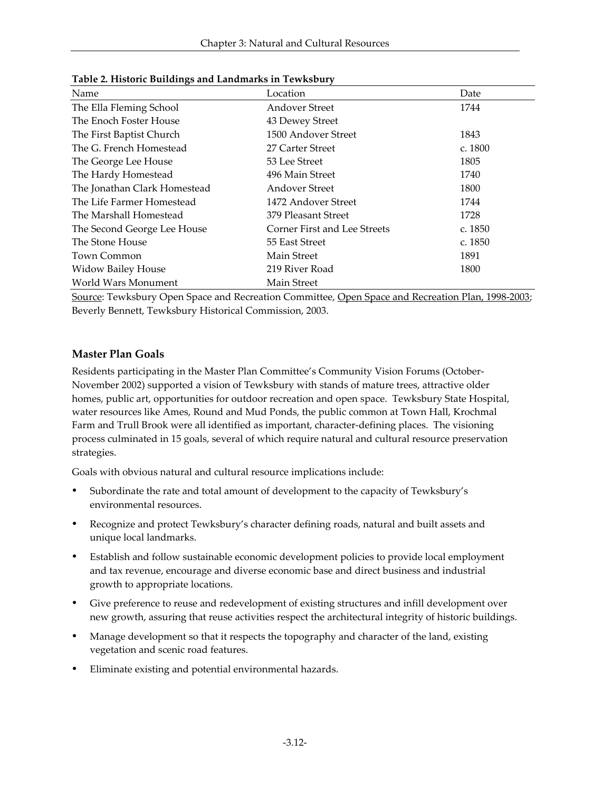| $\cdots$                     |                                     |         |  |  |
|------------------------------|-------------------------------------|---------|--|--|
| Name                         | Location                            | Date    |  |  |
| The Ella Fleming School      | <b>Andover Street</b>               | 1744    |  |  |
| The Enoch Foster House       | 43 Dewey Street                     |         |  |  |
| The First Baptist Church     | 1500 Andover Street                 | 1843    |  |  |
| The G. French Homestead      | 27 Carter Street                    | c. 1800 |  |  |
| The George Lee House         | 53 Lee Street                       | 1805    |  |  |
| The Hardy Homestead          | 496 Main Street                     | 1740    |  |  |
| The Jonathan Clark Homestead | <b>Andover Street</b>               | 1800    |  |  |
| The Life Farmer Homestead    | 1472 Andover Street                 | 1744    |  |  |
| The Marshall Homestead       | 379 Pleasant Street                 | 1728    |  |  |
| The Second George Lee House  | <b>Corner First and Lee Streets</b> | c. 1850 |  |  |
| The Stone House              | 55 East Street                      | c. 1850 |  |  |
| <b>Town Common</b>           | Main Street                         | 1891    |  |  |
| <b>Widow Bailey House</b>    | 219 River Road                      | 1800    |  |  |
| World Wars Monument          | Main Street                         |         |  |  |

**Table 2. Historic Buildings and Landmarks in Tewksbury**

Source: Tewksbury Open Space and Recreation Committee, Open Space and Recreation Plan, 1998-2003; Beverly Bennett, Tewksbury Historical Commission, 2003.

#### **Master Plan Goals**

Residents participating in the Master Plan Committee's Community Vision Forums (October-November 2002) supported a vision of Tewksbury with stands of mature trees, attractive older homes, public art, opportunities for outdoor recreation and open space. Tewksbury State Hospital, water resources like Ames, Round and Mud Ponds, the public common at Town Hall, Krochmal Farm and Trull Brook were all identified as important, character-defining places. The visioning process culminated in 15 goals, several of which require natural and cultural resource preservation strategies.

Goals with obvious natural and cultural resource implications include:

- ü Subordinate the rate and total amount of development to the capacity of Tewksbury's environmental resources.
- ü Recognize and protect Tewksbury's character defining roads, natural and built assets and unique local landmarks.
- ü Establish and follow sustainable economic development policies to provide local employment and tax revenue, encourage and diverse economic base and direct business and industrial growth to appropriate locations.
- ü Give preference to reuse and redevelopment of existing structures and infill development over new growth, assuring that reuse activities respect the architectural integrity of historic buildings.
- ü Manage development so that it respects the topography and character of the land, existing vegetation and scenic road features.
- Eliminate existing and potential environmental hazards.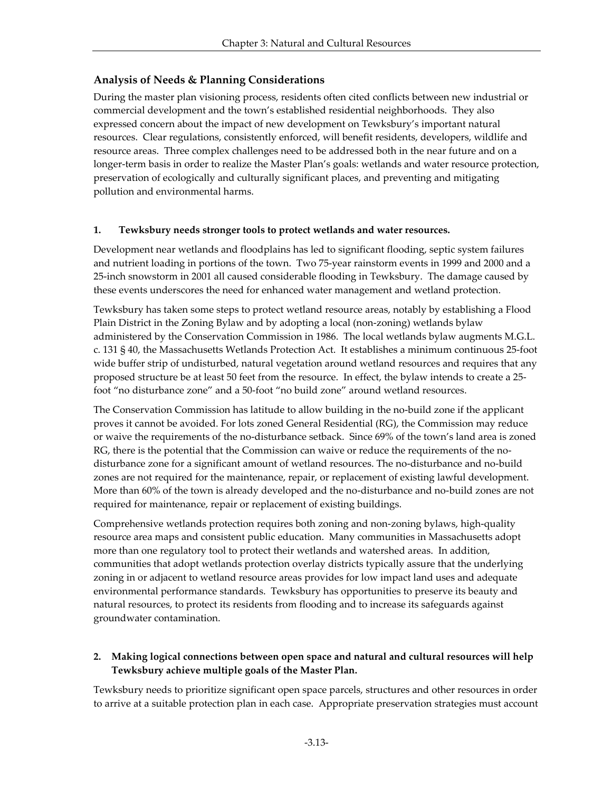# **Analysis of Needs & Planning Considerations**

During the master plan visioning process, residents often cited conflicts between new industrial or commercial development and the town's established residential neighborhoods. They also expressed concern about the impact of new development on Tewksbury's important natural resources. Clear regulations, consistently enforced, will benefit residents, developers, wildlife and resource areas. Three complex challenges need to be addressed both in the near future and on a longer-term basis in order to realize the Master Plan's goals: wetlands and water resource protection, preservation of ecologically and culturally significant places, and preventing and mitigating pollution and environmental harms.

## **1. Tewksbury needs stronger tools to protect wetlands and water resources.**

Development near wetlands and floodplains has led to significant flooding, septic system failures and nutrient loading in portions of the town. Two 75-year rainstorm events in 1999 and 2000 and a 25-inch snowstorm in 2001 all caused considerable flooding in Tewksbury. The damage caused by these events underscores the need for enhanced water management and wetland protection.

Tewksbury has taken some steps to protect wetland resource areas, notably by establishing a Flood Plain District in the Zoning Bylaw and by adopting a local (non-zoning) wetlands bylaw administered by the Conservation Commission in 1986. The local wetlands bylaw augments M.G.L. c. 131 § 40, the Massachusetts Wetlands Protection Act. It establishes a minimum continuous 25-foot wide buffer strip of undisturbed, natural vegetation around wetland resources and requires that any proposed structure be at least 50 feet from the resource. In effect, the bylaw intends to create a 25 foot "no disturbance zone" and a 50-foot "no build zone" around wetland resources.

The Conservation Commission has latitude to allow building in the no-build zone if the applicant proves it cannot be avoided. For lots zoned General Residential (RG), the Commission may reduce or waive the requirements of the no-disturbance setback. Since 69% of the town's land area is zoned RG, there is the potential that the Commission can waive or reduce the requirements of the nodisturbance zone for a significant amount of wetland resources. The no-disturbance and no-build zones are not required for the maintenance, repair, or replacement of existing lawful development. More than 60% of the town is already developed and the no-disturbance and no-build zones are not required for maintenance, repair or replacement of existing buildings.

Comprehensive wetlands protection requires both zoning and non-zoning bylaws, high-quality resource area maps and consistent public education. Many communities in Massachusetts adopt more than one regulatory tool to protect their wetlands and watershed areas. In addition, communities that adopt wetlands protection overlay districts typically assure that the underlying zoning in or adjacent to wetland resource areas provides for low impact land uses and adequate environmental performance standards. Tewksbury has opportunities to preserve its beauty and natural resources, to protect its residents from flooding and to increase its safeguards against groundwater contamination.

## **2. Making logical connections between open space and natural and cultural resources will help Tewksbury achieve multiple goals of the Master Plan.**

Tewksbury needs to prioritize significant open space parcels, structures and other resources in order to arrive at a suitable protection plan in each case. Appropriate preservation strategies must account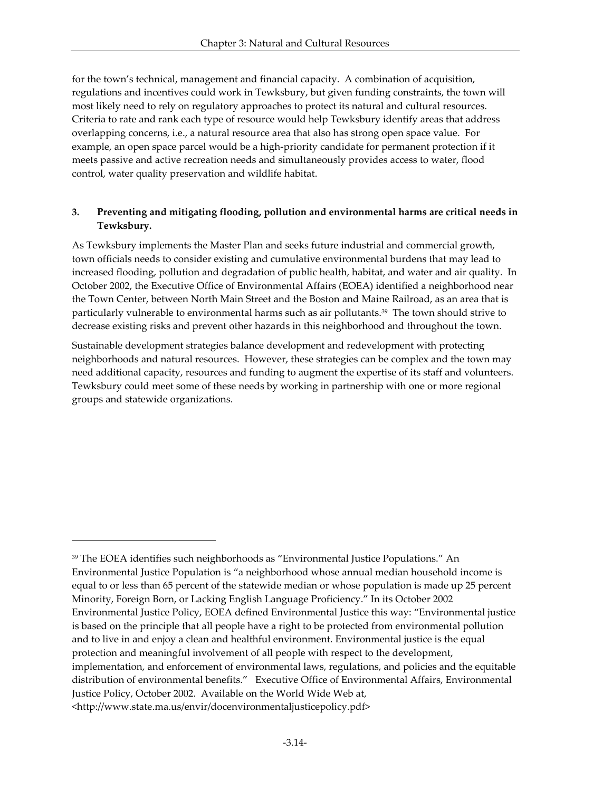for the town's technical, management and financial capacity. A combination of acquisition, regulations and incentives could work in Tewksbury, but given funding constraints, the town will most likely need to rely on regulatory approaches to protect its natural and cultural resources. Criteria to rate and rank each type of resource would help Tewksbury identify areas that address overlapping concerns, i.e., a natural resource area that also has strong open space value. For example, an open space parcel would be a high-priority candidate for permanent protection if it meets passive and active recreation needs and simultaneously provides access to water, flood control, water quality preservation and wildlife habitat.

## **3. Preventing and mitigating flooding, pollution and environmental harms are critical needs in Tewksbury.**

As Tewksbury implements the Master Plan and seeks future industrial and commercial growth, town officials needs to consider existing and cumulative environmental burdens that may lead to increased flooding, pollution and degradation of public health, habitat, and water and air quality. In October 2002, the Executive Office of Environmental Affairs (EOEA) identified a neighborhood near the Town Center, between North Main Street and the Boston and Maine Railroad, as an area that is particularly vulnerable to environmental harms such as air pollutants.39 The town should strive to decrease existing risks and prevent other hazards in this neighborhood and throughout the town.

Sustainable development strategies balance development and redevelopment with protecting neighborhoods and natural resources. However, these strategies can be complex and the town may need additional capacity, resources and funding to augment the expertise of its staff and volunteers. Tewksbury could meet some of these needs by working in partnership with one or more regional groups and statewide organizations.

-

<sup>39</sup> The EOEA identifies such neighborhoods as "Environmental Justice Populations." An Environmental Justice Population is "a neighborhood whose annual median household income is equal to or less than 65 percent of the statewide median or whose population is made up 25 percent Minority, Foreign Born, or Lacking English Language Proficiency." In its October 2002 Environmental Justice Policy, EOEA defined Environmental Justice this way: "Environmental justice is based on the principle that all people have a right to be protected from environmental pollution and to live in and enjoy a clean and healthful environment. Environmental justice is the equal protection and meaningful involvement of all people with respect to the development, implementation, and enforcement of environmental laws, regulations, and policies and the equitable distribution of environmental benefits." Executive Office of Environmental Affairs, Environmental Justice Policy, October 2002. Available on the World Wide Web at, <http://www.state.ma.us/envir/docenvironmentaljusticepolicy.pdf>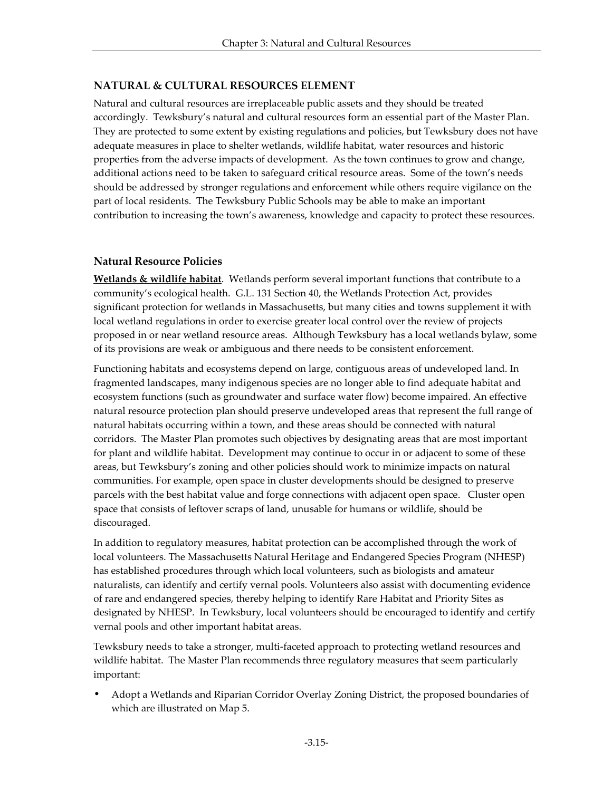## **NATURAL & CULTURAL RESOURCES ELEMENT**

Natural and cultural resources are irreplaceable public assets and they should be treated accordingly. Tewksbury's natural and cultural resources form an essential part of the Master Plan. They are protected to some extent by existing regulations and policies, but Tewksbury does not have adequate measures in place to shelter wetlands, wildlife habitat, water resources and historic properties from the adverse impacts of development. As the town continues to grow and change, additional actions need to be taken to safeguard critical resource areas. Some of the town's needs should be addressed by stronger regulations and enforcement while others require vigilance on the part of local residents. The Tewksbury Public Schools may be able to make an important contribution to increasing the town's awareness, knowledge and capacity to protect these resources.

#### **Natural Resource Policies**

**Wetlands & wildlife habitat**. Wetlands perform several important functions that contribute to a community's ecological health. G.L. 131 Section 40, the Wetlands Protection Act, provides significant protection for wetlands in Massachusetts, but many cities and towns supplement it with local wetland regulations in order to exercise greater local control over the review of projects proposed in or near wetland resource areas. Although Tewksbury has a local wetlands bylaw, some of its provisions are weak or ambiguous and there needs to be consistent enforcement.

Functioning habitats and ecosystems depend on large, contiguous areas of undeveloped land. In fragmented landscapes, many indigenous species are no longer able to find adequate habitat and ecosystem functions (such as groundwater and surface water flow) become impaired. An effective natural resource protection plan should preserve undeveloped areas that represent the full range of natural habitats occurring within a town, and these areas should be connected with natural corridors. The Master Plan promotes such objectives by designating areas that are most important for plant and wildlife habitat. Development may continue to occur in or adjacent to some of these areas, but Tewksbury's zoning and other policies should work to minimize impacts on natural communities. For example, open space in cluster developments should be designed to preserve parcels with the best habitat value and forge connections with adjacent open space. Cluster open space that consists of leftover scraps of land, unusable for humans or wildlife, should be discouraged.

In addition to regulatory measures, habitat protection can be accomplished through the work of local volunteers. The Massachusetts Natural Heritage and Endangered Species Program (NHESP) has established procedures through which local volunteers, such as biologists and amateur naturalists, can identify and certify vernal pools. Volunteers also assist with documenting evidence of rare and endangered species, thereby helping to identify Rare Habitat and Priority Sites as designated by NHESP. In Tewksbury, local volunteers should be encouraged to identify and certify vernal pools and other important habitat areas.

Tewksbury needs to take a stronger, multi-faceted approach to protecting wetland resources and wildlife habitat. The Master Plan recommends three regulatory measures that seem particularly important:

• Adopt a Wetlands and Riparian Corridor Overlay Zoning District, the proposed boundaries of which are illustrated on Map 5.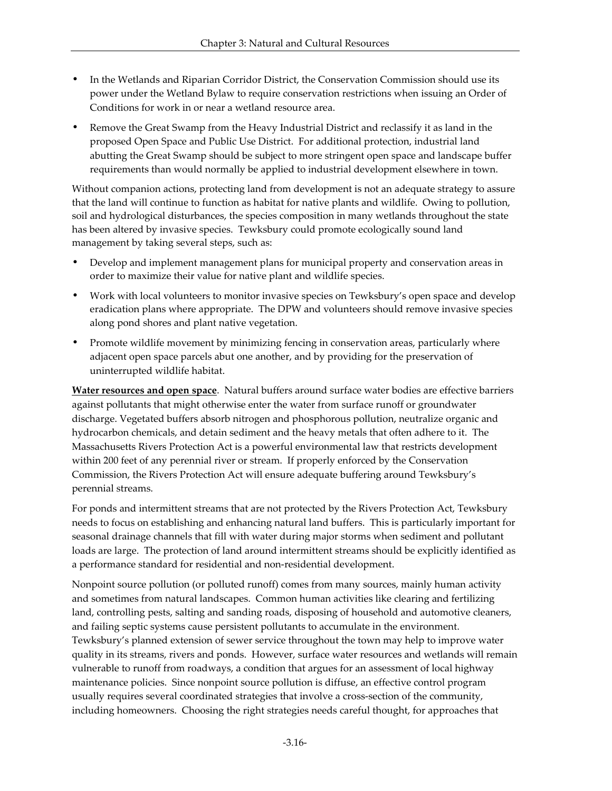- In the Wetlands and Riparian Corridor District, the Conservation Commission should use its power under the Wetland Bylaw to require conservation restrictions when issuing an Order of Conditions for work in or near a wetland resource area.
- Remove the Great Swamp from the Heavy Industrial District and reclassify it as land in the proposed Open Space and Public Use District. For additional protection, industrial land abutting the Great Swamp should be subject to more stringent open space and landscape buffer requirements than would normally be applied to industrial development elsewhere in town.

Without companion actions, protecting land from development is not an adequate strategy to assure that the land will continue to function as habitat for native plants and wildlife. Owing to pollution, soil and hydrological disturbances, the species composition in many wetlands throughout the state has been altered by invasive species. Tewksbury could promote ecologically sound land management by taking several steps, such as:

- Develop and implement management plans for municipal property and conservation areas in order to maximize their value for native plant and wildlife species.
- Work with local volunteers to monitor invasive species on Tewksbury's open space and develop eradication plans where appropriate. The DPW and volunteers should remove invasive species along pond shores and plant native vegetation.
- Promote wildlife movement by minimizing fencing in conservation areas, particularly where adjacent open space parcels abut one another, and by providing for the preservation of uninterrupted wildlife habitat.

**Water resources and open space**. Natural buffers around surface water bodies are effective barriers against pollutants that might otherwise enter the water from surface runoff or groundwater discharge. Vegetated buffers absorb nitrogen and phosphorous pollution, neutralize organic and hydrocarbon chemicals, and detain sediment and the heavy metals that often adhere to it. The Massachusetts Rivers Protection Act is a powerful environmental law that restricts development within 200 feet of any perennial river or stream. If properly enforced by the Conservation Commission, the Rivers Protection Act will ensure adequate buffering around Tewksbury's perennial streams.

For ponds and intermittent streams that are not protected by the Rivers Protection Act, Tewksbury needs to focus on establishing and enhancing natural land buffers. This is particularly important for seasonal drainage channels that fill with water during major storms when sediment and pollutant loads are large. The protection of land around intermittent streams should be explicitly identified as a performance standard for residential and non-residential development.

Nonpoint source pollution (or polluted runoff) comes from many sources, mainly human activity and sometimes from natural landscapes. Common human activities like clearing and fertilizing land, controlling pests, salting and sanding roads, disposing of household and automotive cleaners, and failing septic systems cause persistent pollutants to accumulate in the environment. Tewksbury's planned extension of sewer service throughout the town may help to improve water quality in its streams, rivers and ponds. However, surface water resources and wetlands will remain vulnerable to runoff from roadways, a condition that argues for an assessment of local highway maintenance policies. Since nonpoint source pollution is diffuse, an effective control program usually requires several coordinated strategies that involve a cross-section of the community, including homeowners. Choosing the right strategies needs careful thought, for approaches that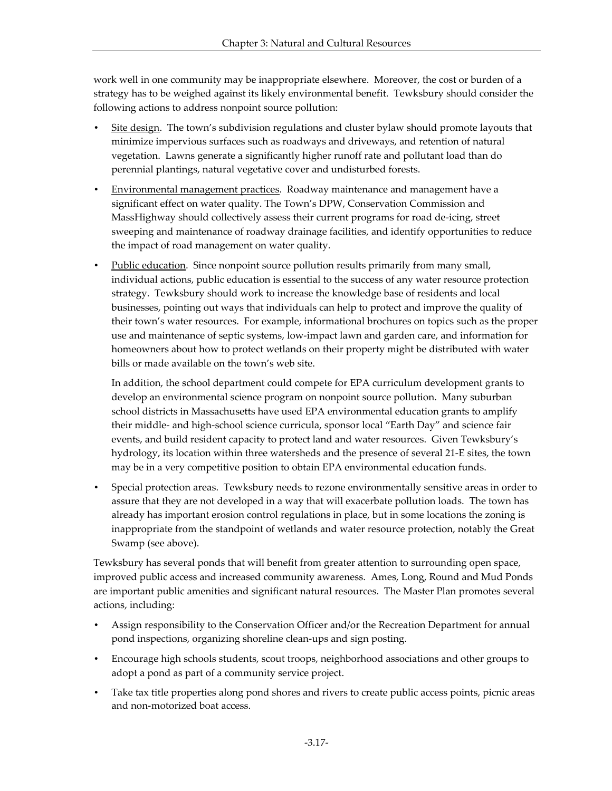work well in one community may be inappropriate elsewhere. Moreover, the cost or burden of a strategy has to be weighed against its likely environmental benefit. Tewksbury should consider the following actions to address nonpoint source pollution:

- Site design. The town's subdivision regulations and cluster bylaw should promote layouts that minimize impervious surfaces such as roadways and driveways, and retention of natural vegetation. Lawns generate a significantly higher runoff rate and pollutant load than do perennial plantings, natural vegetative cover and undisturbed forests.
- Environmental management practices. Roadway maintenance and management have a significant effect on water quality. The Town's DPW, Conservation Commission and MassHighway should collectively assess their current programs for road de-icing, street sweeping and maintenance of roadway drainage facilities, and identify opportunities to reduce the impact of road management on water quality.
- Public education. Since nonpoint source pollution results primarily from many small, individual actions, public education is essential to the success of any water resource protection strategy. Tewksbury should work to increase the knowledge base of residents and local businesses, pointing out ways that individuals can help to protect and improve the quality of their town's water resources. For example, informational brochures on topics such as the proper use and maintenance of septic systems, low-impact lawn and garden care, and information for homeowners about how to protect wetlands on their property might be distributed with water bills or made available on the town's web site.

In addition, the school department could compete for EPA curriculum development grants to develop an environmental science program on nonpoint source pollution. Many suburban school districts in Massachusetts have used EPA environmental education grants to amplify their middle- and high-school science curricula, sponsor local "Earth Day" and science fair events, and build resident capacity to protect land and water resources. Given Tewksbury's hydrology, its location within three watersheds and the presence of several 21-E sites, the town may be in a very competitive position to obtain EPA environmental education funds.

• Special protection areas. Tewksbury needs to rezone environmentally sensitive areas in order to assure that they are not developed in a way that will exacerbate pollution loads. The town has already has important erosion control regulations in place, but in some locations the zoning is inappropriate from the standpoint of wetlands and water resource protection, notably the Great Swamp (see above).

Tewksbury has several ponds that will benefit from greater attention to surrounding open space, improved public access and increased community awareness. Ames, Long, Round and Mud Ponds are important public amenities and significant natural resources. The Master Plan promotes several actions, including:

- Assign responsibility to the Conservation Officer and/or the Recreation Department for annual pond inspections, organizing shoreline clean-ups and sign posting.
- Encourage high schools students, scout troops, neighborhood associations and other groups to adopt a pond as part of a community service project.
- Take tax title properties along pond shores and rivers to create public access points, picnic areas and non-motorized boat access.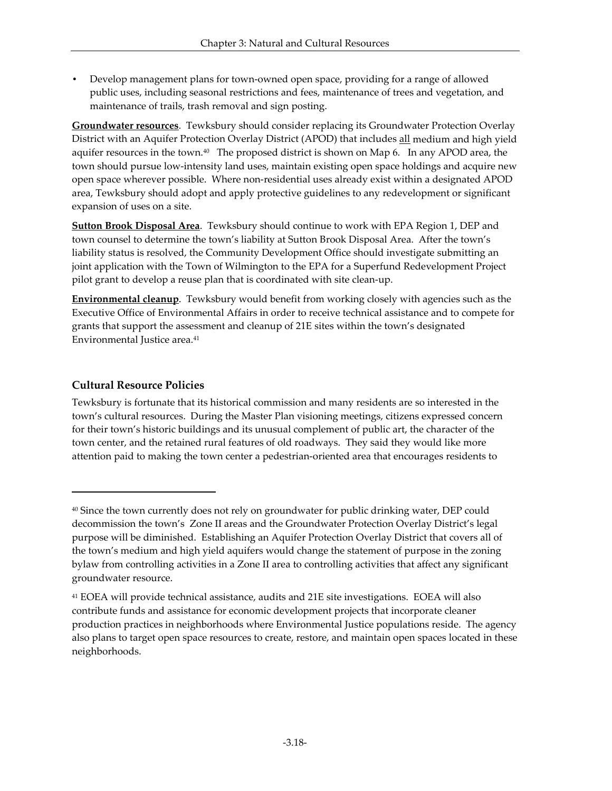• Develop management plans for town-owned open space, providing for a range of allowed public uses, including seasonal restrictions and fees, maintenance of trees and vegetation, and maintenance of trails, trash removal and sign posting.

**Groundwater resources**. Tewksbury should consider replacing its Groundwater Protection Overlay District with an Aquifer Protection Overlay District (APOD) that includes all medium and high yield aquifer resources in the town.40 The proposed district is shown on Map 6. In any APOD area, the town should pursue low-intensity land uses, maintain existing open space holdings and acquire new open space wherever possible. Where non-residential uses already exist within a designated APOD area, Tewksbury should adopt and apply protective guidelines to any redevelopment or significant expansion of uses on a site.

**Sutton Brook Disposal Area**. Tewksbury should continue to work with EPA Region 1, DEP and town counsel to determine the town's liability at Sutton Brook Disposal Area. After the town's liability status is resolved, the Community Development Office should investigate submitting an joint application with the Town of Wilmington to the EPA for a Superfund Redevelopment Project pilot grant to develop a reuse plan that is coordinated with site clean-up.

**Environmental cleanup**. Tewksbury would benefit from working closely with agencies such as the Executive Office of Environmental Affairs in order to receive technical assistance and to compete for grants that support the assessment and cleanup of 21E sites within the town's designated Environmental Justice area.<sup>41</sup>

## **Cultural Resource Policies**

 $\overline{a}$ 

Tewksbury is fortunate that its historical commission and many residents are so interested in the town's cultural resources. During the Master Plan visioning meetings, citizens expressed concern for their town's historic buildings and its unusual complement of public art, the character of the town center, and the retained rural features of old roadways. They said they would like more attention paid to making the town center a pedestrian-oriented area that encourages residents to

<sup>&</sup>lt;sup>40</sup> Since the town currently does not rely on groundwater for public drinking water, DEP could decommission the town's Zone II areas and the Groundwater Protection Overlay District's legal purpose will be diminished. Establishing an Aquifer Protection Overlay District that covers all of the town's medium and high yield aquifers would change the statement of purpose in the zoning bylaw from controlling activities in a Zone II area to controlling activities that affect any significant groundwater resource.

<sup>41</sup> EOEA will provide technical assistance, audits and 21E site investigations. EOEA will also contribute funds and assistance for economic development projects that incorporate cleaner production practices in neighborhoods where Environmental Justice populations reside. The agency also plans to target open space resources to create, restore, and maintain open spaces located in these neighborhoods.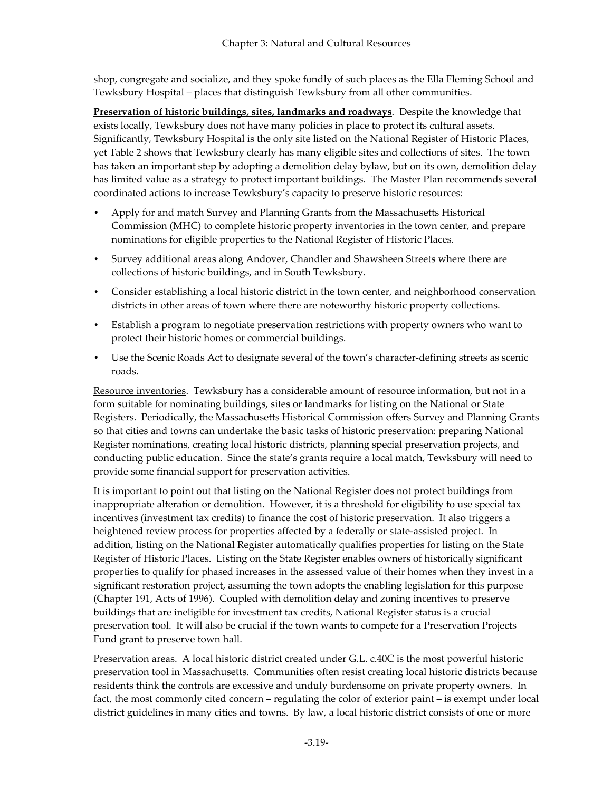shop, congregate and socialize, and they spoke fondly of such places as the Ella Fleming School and Tewksbury Hospital – places that distinguish Tewksbury from all other communities.

**Preservation of historic buildings, sites, landmarks and roadways**. Despite the knowledge that exists locally, Tewksbury does not have many policies in place to protect its cultural assets. Significantly, Tewksbury Hospital is the only site listed on the National Register of Historic Places, yet Table 2 shows that Tewksbury clearly has many eligible sites and collections of sites. The town has taken an important step by adopting a demolition delay bylaw, but on its own, demolition delay has limited value as a strategy to protect important buildings. The Master Plan recommends several coordinated actions to increase Tewksbury's capacity to preserve historic resources:

- Apply for and match Survey and Planning Grants from the Massachusetts Historical Commission (MHC) to complete historic property inventories in the town center, and prepare nominations for eligible properties to the National Register of Historic Places.
- Survey additional areas along Andover, Chandler and Shawsheen Streets where there are collections of historic buildings, and in South Tewksbury.
- Consider establishing a local historic district in the town center, and neighborhood conservation districts in other areas of town where there are noteworthy historic property collections.
- Establish a program to negotiate preservation restrictions with property owners who want to protect their historic homes or commercial buildings.
- Use the Scenic Roads Act to designate several of the town's character-defining streets as scenic roads.

Resource inventories. Tewksbury has a considerable amount of resource information, but not in a form suitable for nominating buildings, sites or landmarks for listing on the National or State Registers. Periodically, the Massachusetts Historical Commission offers Survey and Planning Grants so that cities and towns can undertake the basic tasks of historic preservation: preparing National Register nominations, creating local historic districts, planning special preservation projects, and conducting public education. Since the state's grants require a local match, Tewksbury will need to provide some financial support for preservation activities.

It is important to point out that listing on the National Register does not protect buildings from inappropriate alteration or demolition. However, it is a threshold for eligibility to use special tax incentives (investment tax credits) to finance the cost of historic preservation. It also triggers a heightened review process for properties affected by a federally or state-assisted project. In addition, listing on the National Register automatically qualifies properties for listing on the State Register of Historic Places. Listing on the State Register enables owners of historically significant properties to qualify for phased increases in the assessed value of their homes when they invest in a significant restoration project, assuming the town adopts the enabling legislation for this purpose (Chapter 191, Acts of 1996). Coupled with demolition delay and zoning incentives to preserve buildings that are ineligible for investment tax credits, National Register status is a crucial preservation tool. It will also be crucial if the town wants to compete for a Preservation Projects Fund grant to preserve town hall.

Preservation areas. A local historic district created under G.L. c.40C is the most powerful historic preservation tool in Massachusetts. Communities often resist creating local historic districts because residents think the controls are excessive and unduly burdensome on private property owners. In fact, the most commonly cited concern – regulating the color of exterior paint – is exempt under local district guidelines in many cities and towns. By law, a local historic district consists of one or more